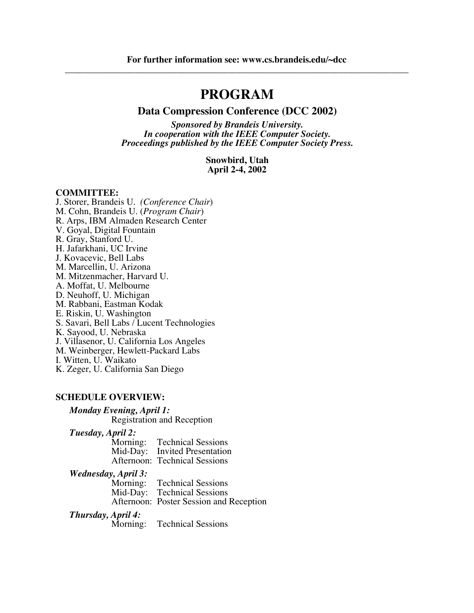# **PROGRAM**

### **Data Compression Conference (DCC 2002)**

*Sponsored by Brandeis University. In cooperation with the IEEE Computer Society. Proceedings published by the IEEE Computer Society Press.*

> **Snowbird, Utah April 2-4, 2002**

#### **COMMITTEE:**

J. Storer, Brandeis U. *(Conference Chair*) M. Cohn, Brandeis U. (*Program Chair*) R. Arps, IBM Almaden Research Center V. Goyal, Digital Fountain R. Gray, Stanford U. H. Jafarkhani, UC Irvine J. Kovacevic, Bell Labs M. Marcellin, U. Arizona M. Mitzenmacher, Harvard U. A. Moffat, U. Melbourne D. Neuhoff, U. Michigan M. Rabbani, Eastman Kodak E. Riskin, U. Washington S. Savari, Bell Labs / Lucent Technologies K. Sayood, U. Nebraska J. Villasenor, U. California Los Angeles M. Weinberger, Hewlett-Packard Labs I. Witten, U. Waikato K. Zeger, U. California San Diego

#### **SCHEDULE OVERVIEW:**

### *Monday Evening, April 1:*

Registration and Reception

*Tuesday, April 2:*

| Morning: | <b>Technical Sessions</b>            |
|----------|--------------------------------------|
|          | Mid-Day: Invited Presentation        |
|          | <b>Afternoon: Technical Sessions</b> |

*Wednesday, April 3:*

**Technical Sessions** Mid-Day: Technical Sessions Afternoon: Poster Session and Reception

#### *Thursday, April 4:*

Morning: Technical Sessions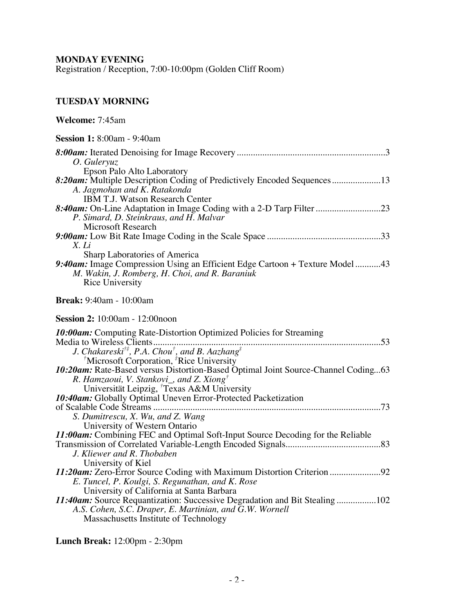**MONDAY EVENING**

Registration / Reception, 7:00-10:00pm (Golden Cliff Room)

### **TUESDAY MORNING**

| Welcome: 7:45am                                                                                                                                                                                                                                                   |
|-------------------------------------------------------------------------------------------------------------------------------------------------------------------------------------------------------------------------------------------------------------------|
| <b>Session 1:</b> 8:00am - 9:40am                                                                                                                                                                                                                                 |
| O. Guleryuz<br>Epson Palo Alto Laboratory                                                                                                                                                                                                                         |
| 8:20am: Multiple Description Coding of Predictively Encoded Sequences13<br>A. Jagmohan and K. Ratakonda<br><b>IBM T.J. Watson Research Center</b>                                                                                                                 |
| P. Simard, D. Steinkraus, and H. Malvar<br>Microsoft Research                                                                                                                                                                                                     |
| X. Li<br>Sharp Laboratories of America                                                                                                                                                                                                                            |
| 9:40am: Image Compression Using an Efficient Edge Cartoon + Texture Model43<br>M. Wakin, J. Romberg, H. Choi, and R. Baraniuk<br>Rice University                                                                                                                  |
| <b>Break:</b> 9:40am - 10:00am                                                                                                                                                                                                                                    |
| <b>Session 2:</b> 10:00am - 12:00noon                                                                                                                                                                                                                             |
| <b>10:00am:</b> Computing Rate-Distortion Optimized Policies for Streaming<br>Media to Wireless Clients<br>J. Chakareski <sup>†‡</sup> , P.A. Chou <sup>†</sup> , and B. Aazhang <sup>‡</sup><br><sup>†</sup> Microsoft Corporation, <sup>‡</sup> Rice University |
| 10:20am: Rate-Based versus Distortion-Based Optimal Joint Source-Channel Coding63<br>R. Hamzaoui, V. Stankovi_, and Z. Xiong <sup>†</sup><br>Universität Leipzig, <sup>†</sup> Texas A&M University                                                               |
| 10:40am: Globally Optimal Uneven Error-Protected Packetization<br>S. Dumitrescu, X. Wu, and Z. Wang                                                                                                                                                               |
| University of Western Ontario<br>11:00am: Combining FEC and Optimal Soft-Input Source Decoding for the Reliable<br>J. Kliewer and R. Thobaben                                                                                                                     |
| University of Kiel<br>E. Tuncel, P. Koulgi, S. Regunathan, and K. Rose                                                                                                                                                                                            |
| University of California at Santa Barbara<br>11:40am: Source Requantization: Successive Degradation and Bit Stealing 102<br>A.S. Cohen, S.C. Draper, E. Martinian, and G.W. Wornell<br>Massachusetts Institute of Technology                                      |

**Lunch Break:** 12:00pm - 2:30pm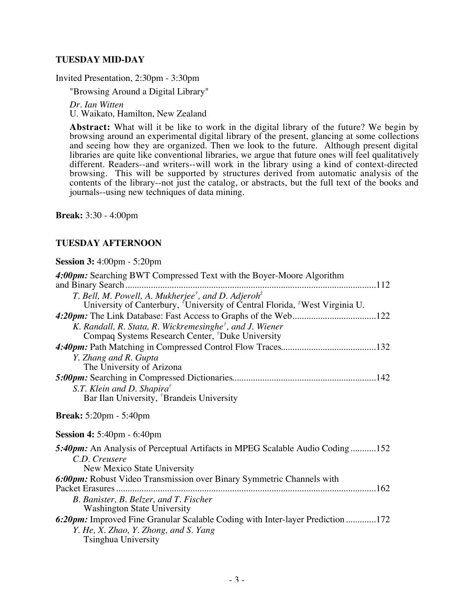### **TUESDAY MID-DAY**

Invited Presentation, 2:30pm - 3:30pm

"Browsing Around a Digital Library"

*Dr. Ian Witten* U. Waikato, Hamilton, New Zealand

**Abstract:** What will it be like to work in the digital library of the future? We begin by browsing around an experimental digital library of the present, glancing at some collections and seeing how they are organized. Then we look to the future. Although present digital libraries are quite like conventional libraries, we argue that future ones will feel qualitatively different. Readers--and writers--will work in the library using a kind of context-directed browsing. This will be supported by structures derived from automatic analysis of the contents of the library--not just the catalog, or abstracts, but the full text of the books and journals--using new techniques of data mining.

**Break:** 3:30 - 4:00pm

### **TUESDAY AFTERNOON**

**Session 3:** 4:00pm - 5:20pm

| 4:00pm: Searching BWT Compressed Text with the Boyer-Moore Algorithm                                                    |
|-------------------------------------------------------------------------------------------------------------------------|
| T. Bell, M. Powell, A. Mukherjee <sup>†</sup> , and D. Adjeroh <sup><math>#</math></sup>                                |
| University of Canterbury, <sup>†</sup> University of Central Florida, <sup>‡</sup> West Virginia U.                     |
|                                                                                                                         |
| K. Randall, R. Stata, R. Wickremesinghe <sup>†</sup> , and J. Wiener                                                    |
| Compaq Systems Research Center, <sup>†</sup> Duke University                                                            |
|                                                                                                                         |
| Y. Zhang and R. Gupta                                                                                                   |
| The University of Arizona                                                                                               |
|                                                                                                                         |
| S.T. Klein and D. Shapira <sup>†</sup>                                                                                  |
| Bar Ilan University, <sup>†</sup> Brandeis University                                                                   |
|                                                                                                                         |
| <b>Break:</b> $5:20 \text{pm} - 5:40 \text{pm}$                                                                         |
| <b>Session 4:</b> 5:40pm $-$ 6:40pm                                                                                     |
| 5:40pm: An Analysis of Perceptual Artifacts in MPEG Scalable Audio Coding152                                            |
| C.D. Creusere                                                                                                           |
| New Mexico State University                                                                                             |
| 6:00pm: Robust Video Transmission over Binary Symmetric Channels with                                                   |
|                                                                                                                         |
| B. Banister, B. Belzer, and T. Fischer                                                                                  |
| <b>Washington State University</b>                                                                                      |
| 6:20pm: Improved Fine Granular Scalable Coding with Inter-layer Prediction 172<br>Y. He, X. Zhao, Y. Zhong, and S. Yang |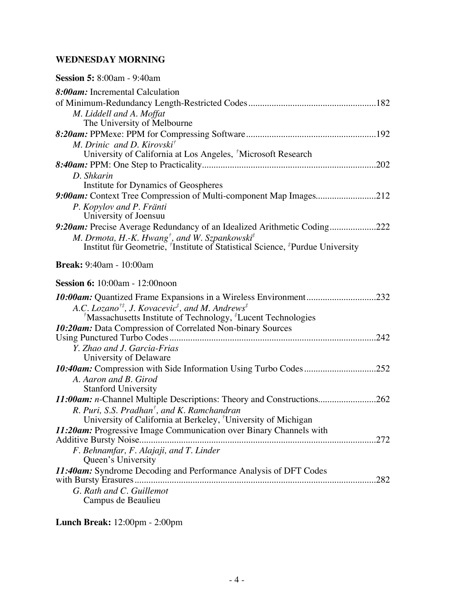## **WEDNESDAY MORNING**

| <b>Session 5:</b> 8:00am - 9:40am                                                                                                               |
|-------------------------------------------------------------------------------------------------------------------------------------------------|
| 8:00am: Incremental Calculation                                                                                                                 |
|                                                                                                                                                 |
| M. Liddell and A. Moffat                                                                                                                        |
| The University of Melbourne                                                                                                                     |
|                                                                                                                                                 |
| M. Drinic and D. Kirovski <sup>†</sup>                                                                                                          |
| University of California at Los Angeles, <sup>†</sup> Microsoft Research                                                                        |
|                                                                                                                                                 |
| D. Shkarin<br>Institute for Dynamics of Geospheres                                                                                              |
| 9:00am: Context Tree Compression of Multi-component Map Images212                                                                               |
| P. Kopylov and P. Fränti                                                                                                                        |
| University of Joensuu                                                                                                                           |
| 9:20am: Precise Average Redundancy of an Idealized Arithmetic Coding222                                                                         |
| M. Drmota, H.-K. Hwang <sup>†</sup> , and W. Szpankowski <sup>‡</sup>                                                                           |
| Institut für Geometrie, <sup>†</sup> Institute of Statistical Science, <sup>‡</sup> Purdue University                                           |
| <b>Break:</b> 9:40am - 10:00am                                                                                                                  |
| <b>Session 6:</b> 10:00am - 12:00noon                                                                                                           |
| 10:00am: Quantized Frame Expansions in a Wireless Environment232                                                                                |
| A.C. Lozano <sup>†‡</sup> , J. Kovacevic <sup>‡</sup> , and M. Andrews <sup>‡</sup>                                                             |
| <sup>†</sup> Massachusetts Institute of Technology, <sup>#</sup> Lucent Technologies                                                            |
| 10:20am: Data Compression of Correlated Non-binary Sources                                                                                      |
|                                                                                                                                                 |
|                                                                                                                                                 |
| Y. Zhao and J. Garcia-Frias                                                                                                                     |
| University of Delaware                                                                                                                          |
| 10:40am: Compression with Side Information Using Turbo Codes252                                                                                 |
| A. Aaron and B. Girod                                                                                                                           |
| <b>Stanford University</b>                                                                                                                      |
| 11:00am: n-Channel Multiple Descriptions: Theory and Constructions262                                                                           |
| R. Puri, S.S. Pradhan <sup>†</sup> , and K. Ramchandran                                                                                         |
| University of California at Berkeley, <sup>†</sup> University of Michigan<br>11:20am: Progressive Image Communication over Binary Channels with |
|                                                                                                                                                 |
| F. Behnamfar, F. Alajaji, and T. Linder                                                                                                         |
| Queen's University                                                                                                                              |
| 11:40am: Syndrome Decoding and Performance Analysis of DFT Codes                                                                                |
| .282                                                                                                                                            |
| G. Rath and C. Guillemot<br>Campus de Beaulieu                                                                                                  |

**Lunch Break:** 12:00pm - 2:00pm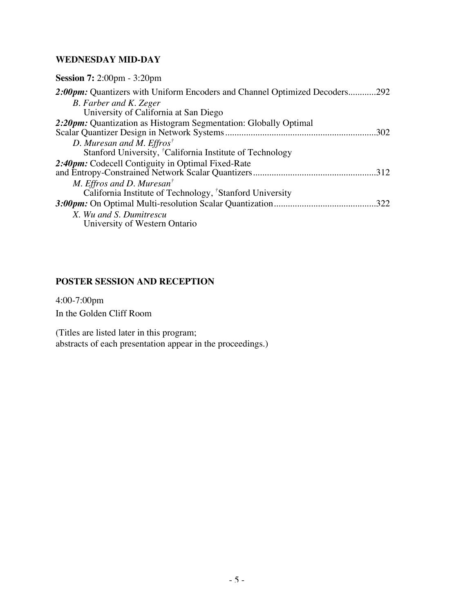## **WEDNESDAY MID-DAY**

| <b>Session 7:</b> 2:00pm $-3:20$ pm                                        |
|----------------------------------------------------------------------------|
| 2:00pm: Quantizers with Uniform Encoders and Channel Optimized Decoders292 |
| B. Farber and K. Zeger                                                     |
| University of California at San Diego                                      |
| 2:20pm: Quantization as Histogram Segmentation: Globally Optimal           |
|                                                                            |
| D. Muresan and M. Effros <sup>†</sup>                                      |
| Stanford University, <sup>†</sup> California Institute of Technology       |
| 2:40pm: Codecell Contiguity in Optimal Fixed-Rate                          |
| .312                                                                       |
| M. Effros and D. Muresan <sup>†</sup>                                      |
| California Institute of Technology, <sup>†</sup> Stanford University       |
| .322                                                                       |
| X. Wu and S. Dumitrescu                                                    |
| University of Western Ontario                                              |

### **POSTER SESSION AND RECEPTION**

4:00-7:00pm In the Golden Cliff Room

(Titles are listed later in this program; abstracts of each presentation appear in the proceedings.)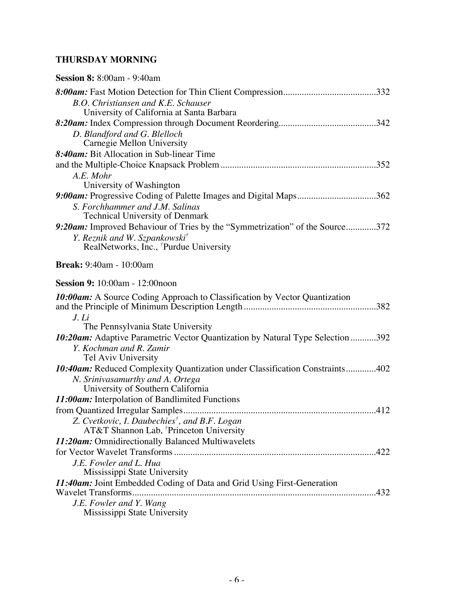## **THURSDAY MORNING**

| <b>Session 8:</b> 8:00am - 9:40am                                              |
|--------------------------------------------------------------------------------|
|                                                                                |
| <b>B.O.</b> Christiansen and K.E. Schauser                                     |
| University of California at Santa Barbara                                      |
|                                                                                |
| D. Blandford and G. Blelloch                                                   |
| Carnegie Mellon University<br>8:40am: Bit Allocation in Sub-linear Time        |
|                                                                                |
| A.E. Mohr                                                                      |
| University of Washington                                                       |
| 9:00am: Progressive Coding of Palette Images and Digital Maps362               |
| S. Forchhammer and J.M. Salinas                                                |
| Technical University of Denmark                                                |
| 9:20am: Improved Behaviour of Tries by the "Symmetrization" of the Source372   |
| Y. Reznik and W. Szpankowski <sup>†</sup>                                      |
| RealNetworks, Inc., <sup>†</sup> Purdue University                             |
| <b>Break:</b> 9:40am - 10:00am                                                 |
| <b>Session 9:</b> 10:00am - 12:00noon                                          |
| 10:00am: A Source Coding Approach to Classification by Vector Quantization     |
|                                                                                |
| J. Li<br>The Pennsylvania State University                                     |
| 10:20am: Adaptive Parametric Vector Quantization by Natural Type Selection 392 |
| Y. Kochman and R. Zamir                                                        |
| Tel Aviv University                                                            |
| 10:40am: Reduced Complexity Quantization under Classification Constraints402   |
| N. Srinivasamurthy and A. Ortega                                               |
| University of Southern California                                              |
| 11:00am: Interpolation of Bandlimited Functions                                |
|                                                                                |
| Z. Cvetkovic, I. Daubechies <sup>†</sup> , and B.F. Logan                      |
| AT&T Shannon Lab, <sup>†</sup> Princeton University                            |
| 11:20am: Omnidirectionally Balanced Multiwavelets                              |
| .422<br>J.E. Fowler and L. Hua                                                 |
| Mississippi State University                                                   |
| 11:40am: Joint Embedded Coding of Data and Grid Using First-Generation         |
|                                                                                |
| J.E. Fowler and Y. Wang                                                        |
| Mississippi State University                                                   |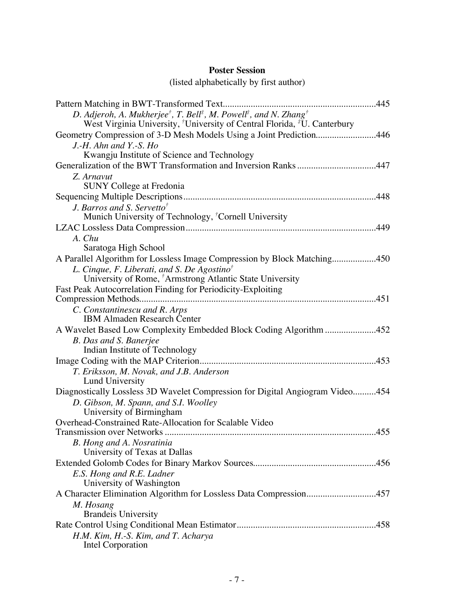## **Poster Session**

### (listed alphabetically by first author)

| D. Adjeroh, A. Mukherjee <sup>†</sup> , T. Bell <sup>‡</sup> , M. Powell <sup>‡</sup> , and N. Zhang <sup>†</sup><br>West Virginia University, University of Central Florida, <sup>#</sup> U. Canterbury |
|----------------------------------------------------------------------------------------------------------------------------------------------------------------------------------------------------------|
| Geometry Compression of 3-D Mesh Models Using a Joint Prediction446                                                                                                                                      |
| J.-H. Ahn and Y.-S. $Ho$                                                                                                                                                                                 |
| Kwangju Institute of Science and Technology                                                                                                                                                              |
| Generalization of the BWT Transformation and Inversion Ranks447                                                                                                                                          |
| Z. Arnavut<br><b>SUNY College at Fredonia</b>                                                                                                                                                            |
|                                                                                                                                                                                                          |
| J. Barros and S. Servetto <sup>†</sup>                                                                                                                                                                   |
| Munich University of Technology, <sup>†</sup> Cornell University                                                                                                                                         |
|                                                                                                                                                                                                          |
| A. Chu                                                                                                                                                                                                   |
| Saratoga High School                                                                                                                                                                                     |
| A Parallel Algorithm for Lossless Image Compression by Block Matching450                                                                                                                                 |
| L. Cinque, F. Liberati, and S. De Agostino <sup>†</sup>                                                                                                                                                  |
| University of Rome, <sup>†</sup> Armstrong Atlantic State University                                                                                                                                     |
| Fast Peak Autocorrelation Finding for Periodicity-Exploiting                                                                                                                                             |
|                                                                                                                                                                                                          |
| C. Constantinescu and R. Arps<br><b>IBM Almaden Research Center</b>                                                                                                                                      |
| A Wavelet Based Low Complexity Embedded Block Coding Algorithm 452                                                                                                                                       |
| B. Das and S. Banerjee                                                                                                                                                                                   |
| Indian Institute of Technology                                                                                                                                                                           |
|                                                                                                                                                                                                          |
| T. Eriksson, M. Novak, and J.B. Anderson                                                                                                                                                                 |
| Lund University                                                                                                                                                                                          |
| Diagnostically Lossless 3D Wavelet Compression for Digital Angiogram Video454                                                                                                                            |
| D. Gibson, M. Spann, and S.I. Woolley                                                                                                                                                                    |
| University of Birmingham                                                                                                                                                                                 |
| Overhead-Constrained Rate-Allocation for Scalable Video                                                                                                                                                  |
|                                                                                                                                                                                                          |
| B. Hong and A. Nosratinia                                                                                                                                                                                |
| University of Texas at Dallas                                                                                                                                                                            |
|                                                                                                                                                                                                          |
| E.S. Hong and R.E. Ladner                                                                                                                                                                                |
| University of Washington                                                                                                                                                                                 |
| A Character Elimination Algorithm for Lossless Data Compression457                                                                                                                                       |
| M. Hosang<br><b>Brandeis University</b>                                                                                                                                                                  |
|                                                                                                                                                                                                          |
| H.M. Kim, H.-S. Kim, and T. Acharya                                                                                                                                                                      |
| Intel Corporation                                                                                                                                                                                        |
|                                                                                                                                                                                                          |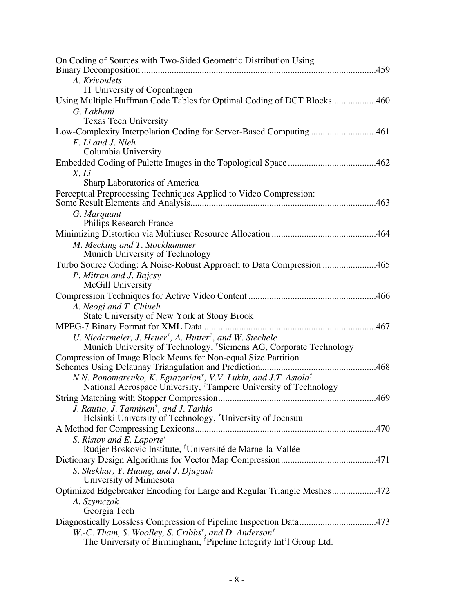| On Coding of Sources with Two-Sided Geometric Distribution Using                                                                                           |
|------------------------------------------------------------------------------------------------------------------------------------------------------------|
| A. Krivoulets                                                                                                                                              |
| IT University of Copenhagen                                                                                                                                |
| Using Multiple Huffman Code Tables for Optimal Coding of DCT Blocks460                                                                                     |
| G. Lakhani                                                                                                                                                 |
| <b>Texas Tech University</b>                                                                                                                               |
| Low-Complexity Interpolation Coding for Server-Based Computing 461                                                                                         |
| F. Li and J. Nieh<br>Columbia University                                                                                                                   |
|                                                                                                                                                            |
| X. Li                                                                                                                                                      |
| Sharp Laboratories of America                                                                                                                              |
| Perceptual Preprocessing Techniques Applied to Video Compression:                                                                                          |
| G. Marquant                                                                                                                                                |
| <b>Philips Research France</b>                                                                                                                             |
|                                                                                                                                                            |
| M. Mecking and T. Stockhammer                                                                                                                              |
| Munich University of Technology                                                                                                                            |
| Turbo Source Coding: A Noise-Robust Approach to Data Compression 465                                                                                       |
| P. Mitran and J. Bajcsy                                                                                                                                    |
| McGill University                                                                                                                                          |
|                                                                                                                                                            |
| A. Neogi and T. Chiueh<br>State University of New York at Stony Brook                                                                                      |
|                                                                                                                                                            |
| U. Niedermeier, J. Heuer <sup>†</sup> , A. Hutter <sup>†</sup> , and W. Stechele                                                                           |
| Munich University of Technology, 'Siemens AG, Corporate Technology                                                                                         |
| Compression of Image Block Means for Non-equal Size Partition                                                                                              |
|                                                                                                                                                            |
| N.N. Ponomarenko, K. Egiazarian <sup>†</sup> , V.V. Lukin, and J.T. Astola <sup>†</sup><br>National Aerospace University, Tampere University of Technology |
|                                                                                                                                                            |
| J. Rautio, J. Tanninen <sup>†</sup> , and J. Tarhio                                                                                                        |
| Helsinki University of Technology, <sup>†</sup> University of Joensuu                                                                                      |
|                                                                                                                                                            |
| S. Ristov and E. Laporte <sup>†</sup>                                                                                                                      |
| Rudjer Boskovic Institute, <sup>†</sup> Université de Marne-la-Vallée                                                                                      |
|                                                                                                                                                            |
| S. Shekhar, Y. Huang, and J. Djugash<br>University of Minnesota                                                                                            |
| Optimized Edgebreaker Encoding for Large and Regular Triangle Meshes472                                                                                    |
| A. Szymczak                                                                                                                                                |
| Georgia Tech                                                                                                                                               |
| Diagnostically Lossless Compression of Pipeline Inspection Data473                                                                                         |
| W.-C. Tham, S. Woolley, S. Cribbs <sup>†</sup> , and D. Anderson <sup>†</sup>                                                                              |
| The University of Birmingham, <sup><i>'</i></sup> Pipeline Integrity Int'l Group Ltd.                                                                      |